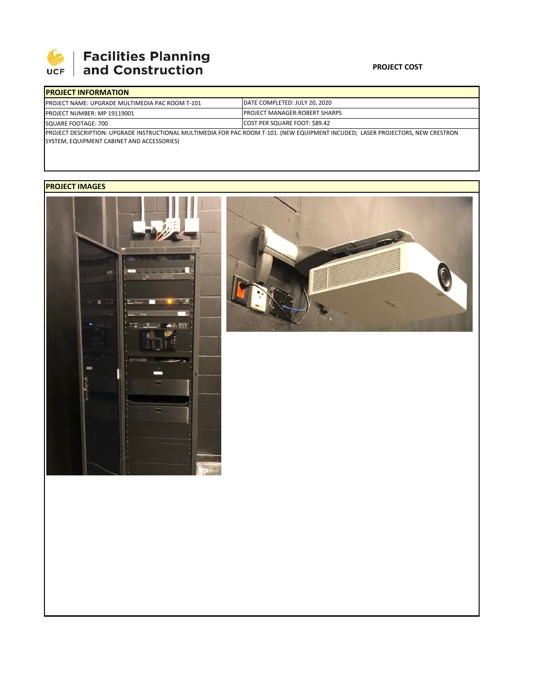

## | Facilities Planning<br>| and Construction

## **PROJECT COST**

|                                                                                                                                  | <b>IPROJECT INFORMATION</b> |                                       |  |  |  |
|----------------------------------------------------------------------------------------------------------------------------------|-----------------------------|---------------------------------------|--|--|--|
| <b>PROJECT NAME: UPGRADE MULTIMEDIA PAC ROOM T-101</b><br><b>PROJECT NUMBER: MP 19119001</b><br>SQUARE FOOTAGE: 700              |                             | DATE COMPLETED: JULY 20, 2020         |  |  |  |
|                                                                                                                                  |                             | <b>IPROJECT MANAGER:ROBERT SHARPS</b> |  |  |  |
|                                                                                                                                  |                             | COST PER SQUARE FOOT: \$89.42         |  |  |  |
| PROJECT DESCRIPTION: UPGRADE INSTRUCTIONAL MULTIMEDIA FOR PAC ROOM T-101. (NEW EQUIPMENT INCUDED; LASER PROJECTORS, NEW CRESTRON |                             |                                       |  |  |  |

SYSTEM, EQUIPMENT CABINET AND ACCESSORIES)

## **PROJECT IMAGES**